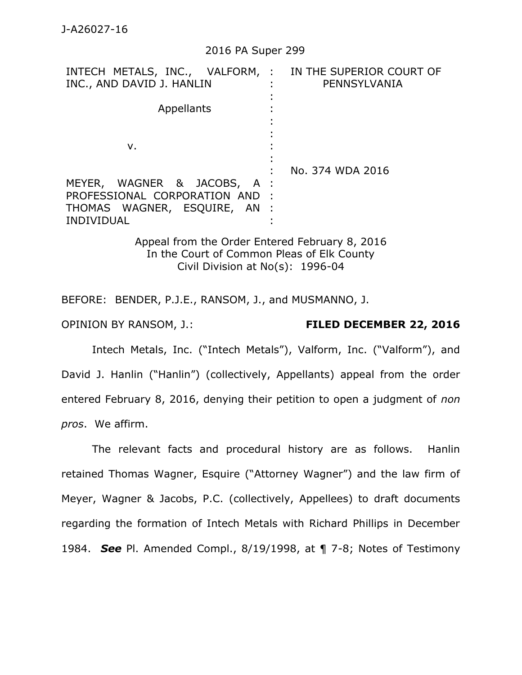## 2016 PA Super 299

| INTECH METALS, INC., VALFORM, : IN THE SUPERIOR COURT OF<br>INC., AND DAVID J. HANLIN                             | PENNSYLVANIA     |
|-------------------------------------------------------------------------------------------------------------------|------------------|
| Appellants                                                                                                        |                  |
| ν.                                                                                                                | No. 374 WDA 2016 |
| MEYER, WAGNER & JACOBS, A :<br>PROFESSIONAL CORPORATION AND:<br>THOMAS WAGNER, ESQUIRE, AN :<br><b>INDIVIDUAL</b> |                  |

Appeal from the Order Entered February 8, 2016 In the Court of Common Pleas of Elk County Civil Division at No(s): 1996-04

BEFORE: BENDER, P.J.E., RANSOM, J., and MUSMANNO, J.

## OPINION BY RANSOM, J.: **FILED DECEMBER 22, 2016**

Intech Metals, Inc. ("Intech Metals"), Valform, Inc. ("Valform"), and David J. Hanlin ("Hanlin") (collectively, Appellants) appeal from the order entered February 8, 2016, denying their petition to open a judgment of *non pros*. We affirm.

The relevant facts and procedural history are as follows. Hanlin retained Thomas Wagner, Esquire ("Attorney Wagner") and the law firm of Meyer, Wagner & Jacobs, P.C. (collectively, Appellees) to draft documents regarding the formation of Intech Metals with Richard Phillips in December 1984. *See* Pl. Amended Compl., 8/19/1998, at ¶ 7-8; Notes of Testimony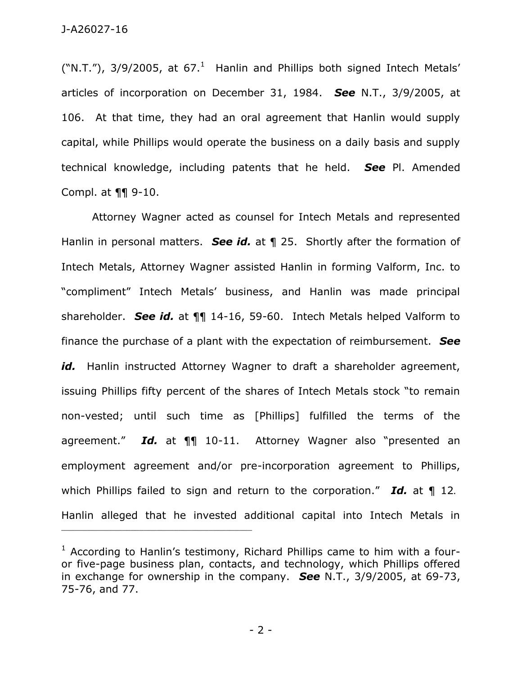("N.T."), 3/9/2005, at 67.<sup>1</sup> Hanlin and Phillips both signed Intech Metals' articles of incorporation on December 31, 1984. *See* N.T., 3/9/2005, at 106. At that time, they had an oral agreement that Hanlin would supply capital, while Phillips would operate the business on a daily basis and supply technical knowledge, including patents that he held. *See* Pl. Amended Compl. at ¶¶ 9-10.

Attorney Wagner acted as counsel for Intech Metals and represented Hanlin in personal matters. *See id.* at ¶ 25. Shortly after the formation of Intech Metals, Attorney Wagner assisted Hanlin in forming Valform, Inc. to "compliment" Intech Metals' business, and Hanlin was made principal shareholder. *See id.* at ¶¶ 14-16, 59-60. Intech Metals helped Valform to finance the purchase of a plant with the expectation of reimbursement. *See*  id. Hanlin instructed Attorney Wagner to draft a shareholder agreement, issuing Phillips fifty percent of the shares of Intech Metals stock "to remain non-vested; until such time as [Phillips] fulfilled the terms of the agreement." *Id.* at ¶¶ 10-11. Attorney Wagner also "presented an employment agreement and/or pre-incorporation agreement to Phillips, which Phillips failed to sign and return to the corporation." **Id.** at 1 12. Hanlin alleged that he invested additional capital into Intech Metals in

- 2 -

 $1$  According to Hanlin's testimony, Richard Phillips came to him with a fouror five-page business plan, contacts, and technology, which Phillips offered in exchange for ownership in the company. *See* N.T., 3/9/2005, at 69-73, 75-76, and 77.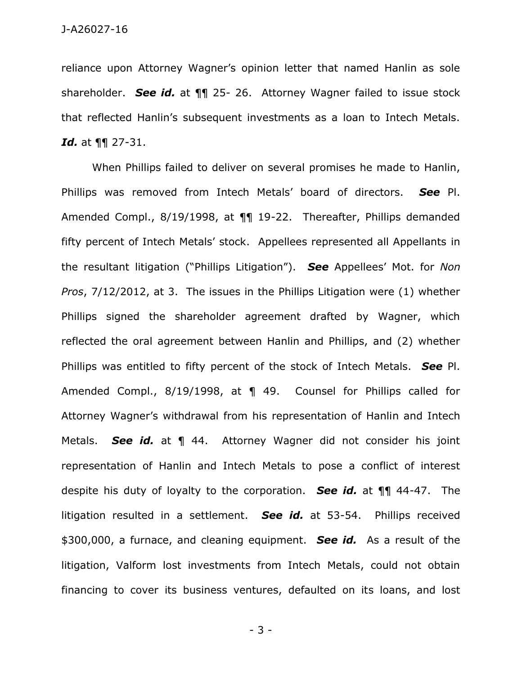reliance upon Attorney Wagner's opinion letter that named Hanlin as sole shareholder. *See id.* at ¶¶ 25- 26. Attorney Wagner failed to issue stock that reflected Hanlin's subsequent investments as a loan to Intech Metals. *Id.* at ¶¶ 27-31.

When Phillips failed to deliver on several promises he made to Hanlin, Phillips was removed from Intech Metals' board of directors. *See* Pl. Amended Compl., 8/19/1998, at ¶¶ 19-22. Thereafter, Phillips demanded fifty percent of Intech Metals' stock. Appellees represented all Appellants in the resultant litigation ("Phillips Litigation"). *See* Appellees' Mot. for *Non Pros*, 7/12/2012, at 3. The issues in the Phillips Litigation were (1) whether Phillips signed the shareholder agreement drafted by Wagner, which reflected the oral agreement between Hanlin and Phillips, and (2) whether Phillips was entitled to fifty percent of the stock of Intech Metals. *See* Pl. Amended Compl., 8/19/1998, at ¶ 49. Counsel for Phillips called for Attorney Wagner's withdrawal from his representation of Hanlin and Intech Metals. *See id.* at ¶ 44. Attorney Wagner did not consider his joint representation of Hanlin and Intech Metals to pose a conflict of interest despite his duty of loyalty to the corporation. *See id.* at ¶¶ 44-47. The litigation resulted in a settlement. *See id.* at 53-54. Phillips received \$300,000, a furnace, and cleaning equipment. *See id.* As a result of the litigation, Valform lost investments from Intech Metals, could not obtain financing to cover its business ventures, defaulted on its loans, and lost

- 3 -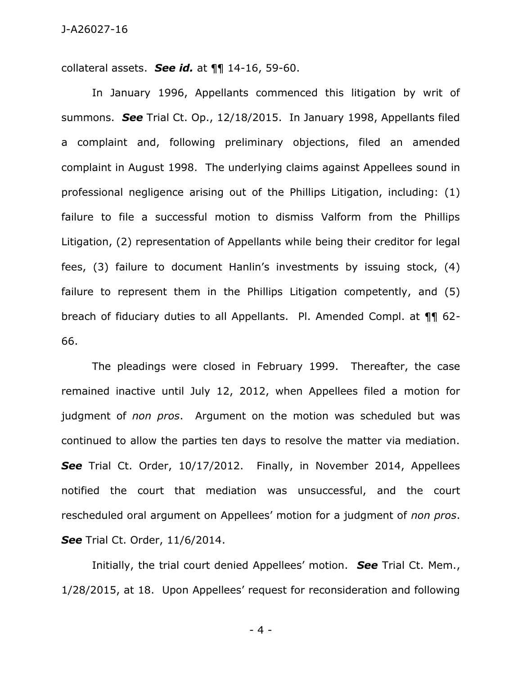collateral assets. *See id.* at ¶¶ 14-16, 59-60.

In January 1996, Appellants commenced this litigation by writ of summons. *See* Trial Ct. Op., 12/18/2015. In January 1998, Appellants filed a complaint and, following preliminary objections, filed an amended complaint in August 1998. The underlying claims against Appellees sound in professional negligence arising out of the Phillips Litigation, including: (1) failure to file a successful motion to dismiss Valform from the Phillips Litigation, (2) representation of Appellants while being their creditor for legal fees, (3) failure to document Hanlin's investments by issuing stock, (4) failure to represent them in the Phillips Litigation competently, and (5) breach of fiduciary duties to all Appellants. Pl. Amended Compl. at ¶¶ 62- 66.

The pleadings were closed in February 1999. Thereafter, the case remained inactive until July 12, 2012, when Appellees filed a motion for judgment of *non pros*. Argument on the motion was scheduled but was continued to allow the parties ten days to resolve the matter via mediation. *See* Trial Ct. Order, 10/17/2012. Finally, in November 2014, Appellees notified the court that mediation was unsuccessful, and the court rescheduled oral argument on Appellees' motion for a judgment of *non pros*. *See* Trial Ct. Order, 11/6/2014.

Initially, the trial court denied Appellees' motion. *See* Trial Ct. Mem., 1/28/2015, at 18. Upon Appellees' request for reconsideration and following

- 4 -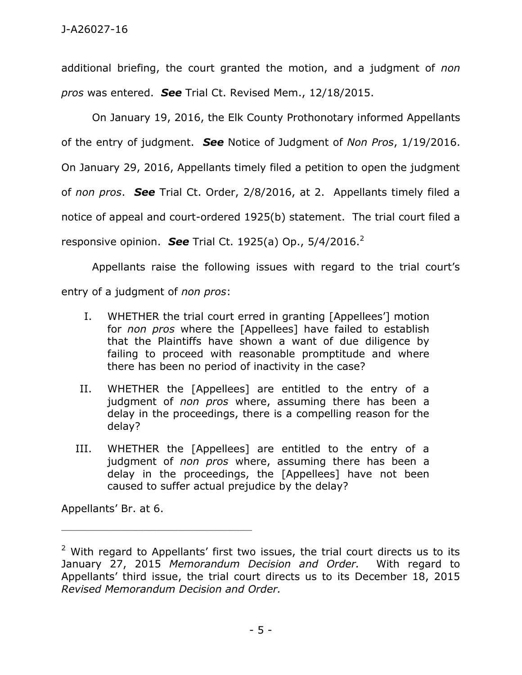additional briefing, the court granted the motion, and a judgment of *non pros* was entered. *See* Trial Ct. Revised Mem., 12/18/2015.

On January 19, 2016, the Elk County Prothonotary informed Appellants of the entry of judgment. *See* Notice of Judgment of *Non Pros*, 1/19/2016. On January 29, 2016, Appellants timely filed a petition to open the judgment of *non pros*. *See* Trial Ct. Order, 2/8/2016, at 2. Appellants timely filed a notice of appeal and court-ordered 1925(b) statement. The trial court filed a responsive opinion. *See* Trial Ct. 1925(a) Op., 5/4/2016.<sup>2</sup>

Appellants raise the following issues with regard to the trial court's entry of a judgment of *non pros*:

- I. WHETHER the trial court erred in granting [Appellees'] motion for *non pros* where the [Appellees] have failed to establish that the Plaintiffs have shown a want of due diligence by failing to proceed with reasonable promptitude and where there has been no period of inactivity in the case?
- II. WHETHER the [Appellees] are entitled to the entry of a judgment of *non pros* where, assuming there has been a delay in the proceedings, there is a compelling reason for the delay?
- III. WHETHER the [Appellees] are entitled to the entry of a judgment of *non pros* where, assuming there has been a delay in the proceedings, the [Appellees] have not been caused to suffer actual prejudice by the delay?

Appellants' Br. at 6.

 $2$  With regard to Appellants' first two issues, the trial court directs us to its January 27, 2015 *Memorandum Decision and Order.* With regard to Appellants' third issue, the trial court directs us to its December 18, 2015 *Revised Memorandum Decision and Order.*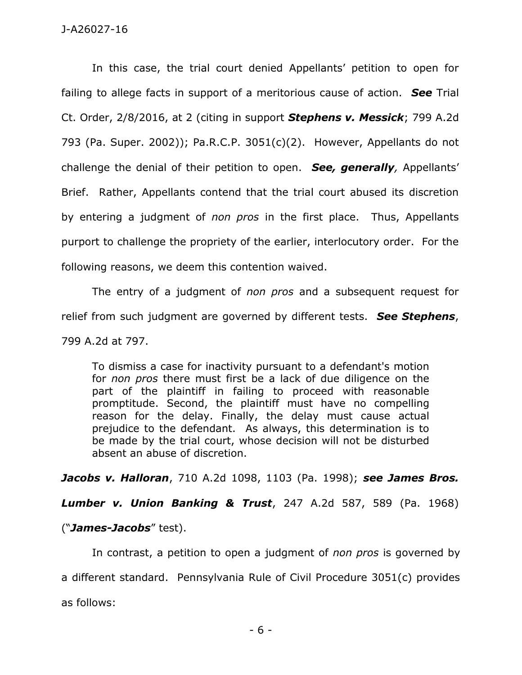In this case, the trial court denied Appellants' petition to open for failing to allege facts in support of a meritorious cause of action. *See* Trial Ct. Order, 2/8/2016, at 2 (citing in support *Stephens v. Messick*; 799 A.2d 793 (Pa. Super. 2002)); Pa.R.C.P. 3051(c)(2). However, Appellants do not challenge the denial of their petition to open. *See, generally,* Appellants' Brief. Rather, Appellants contend that the trial court abused its discretion by entering a judgment of *non pros* in the first place. Thus, Appellants purport to challenge the propriety of the earlier, interlocutory order. For the following reasons, we deem this contention waived.

The entry of a judgment of *non pros* and a subsequent request for relief from such judgment are governed by different tests. *See Stephens*, 799 A.2d at 797.

To dismiss a case for inactivity pursuant to a defendant's motion for *non pros* there must first be a lack of due diligence on the part of the plaintiff in failing to proceed with reasonable promptitude. Second, the plaintiff must have no compelling reason for the delay. Finally, the delay must cause actual prejudice to the defendant. As always, this determination is to be made by the trial court, whose decision will not be disturbed absent an abuse of discretion.

*Jacobs v. Halloran*, 710 A.2d 1098, 1103 (Pa. 1998); *see James Bros.* 

*Lumber v. Union Banking & Trust*, 247 A.2d 587, 589 (Pa. 1968)

("*James-Jacobs*" test).

In contrast, a petition to open a judgment of *non pros* is governed by a different standard. Pennsylvania Rule of Civil Procedure 3051(c) provides as follows: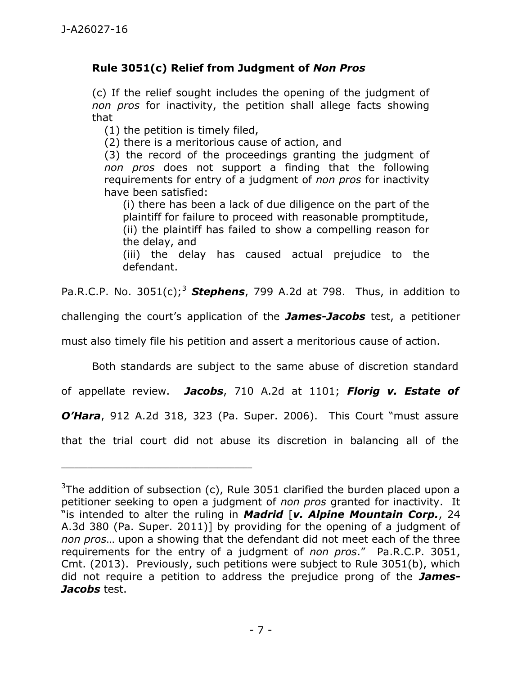## **Rule 3051(c) Relief from Judgment of** *Non Pros*

(c) If the relief sought includes the opening of the judgment of *non pros* for inactivity, the petition shall allege facts showing that

(1) the petition is timely filed,

\_\_\_\_\_\_\_\_\_\_\_\_\_\_\_\_\_\_\_\_\_\_\_\_\_\_\_\_\_\_\_\_\_\_\_\_\_\_\_\_\_\_\_\_

(2) there is a meritorious cause of action, and

(3) the record of the proceedings granting the judgment of *non pros* does not support a finding that the following requirements for entry of a judgment of *non pros* for inactivity have been satisfied:

(i) there has been a lack of due diligence on the part of the plaintiff for failure to proceed with reasonable promptitude, (ii) the plaintiff has failed to show a compelling reason for the delay, and

(iii) the delay has caused actual prejudice to the defendant.

Pa.R.C.P. No.  $3051(c)$ ;<sup>3</sup> **Stephens**, 799 A.2d at 798. Thus, in addition to

challenging the court's application of the *James-Jacobs* test, a petitioner

must also timely file his petition and assert a meritorious cause of action.

Both standards are subject to the same abuse of discretion standard

of appellate review. *Jacobs*, 710 A.2d at 1101; *Florig v. Estate of* 

*O'Hara*, 912 A.2d 318, 323 (Pa. Super. 2006). This Court "must assure

that the trial court did not abuse its discretion in balancing all of the

 $3$ The addition of subsection (c), Rule 3051 clarified the burden placed upon a petitioner seeking to open a judgment of *non pros* granted for inactivity. It "is intended to alter the ruling in *Madrid* [*v. Alpine Mountain Corp.*, 24 A.3d 380 (Pa. Super. 2011)] by providing for the opening of a judgment of *non pros*… upon a showing that the defendant did not meet each of the three requirements for the entry of a judgment of *non pros*." Pa.R.C.P. 3051, Cmt. (2013). Previously, such petitions were subject to Rule 3051(b), which did not require a petition to address the prejudice prong of the *James-Jacobs* test.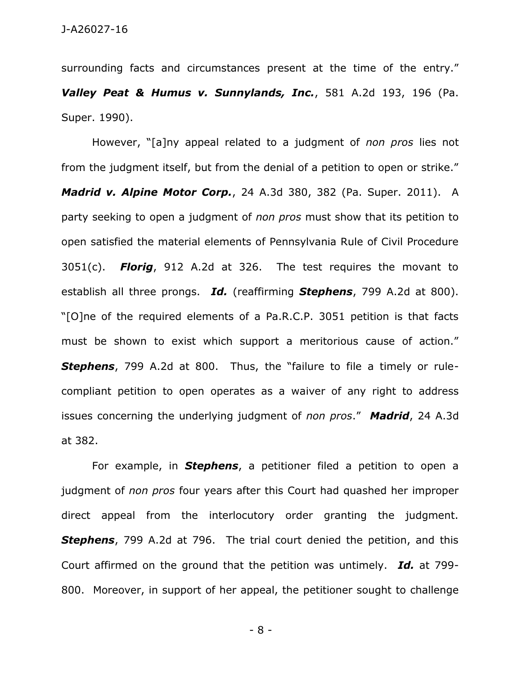surrounding facts and circumstances present at the time of the entry." *Valley Peat & Humus v. Sunnylands, Inc.*, 581 A.2d 193, 196 (Pa. Super. 1990).

However, "[a]ny appeal related to a judgment of *non pros* lies not from the judgment itself, but from the denial of a petition to open or strike." *Madrid v. Alpine Motor Corp.*, 24 A.3d 380, 382 (Pa. Super. 2011). A party seeking to open a judgment of *non pros* must show that its petition to open satisfied the material elements of Pennsylvania Rule of Civil Procedure 3051(c). *Florig*, 912 A.2d at 326. The test requires the movant to establish all three prongs. *Id.* (reaffirming *Stephens*, 799 A.2d at 800). "[O]ne of the required elements of a Pa.R.C.P. 3051 petition is that facts must be shown to exist which support a meritorious cause of action." *Stephens*, 799 A.2d at 800. Thus, the "failure to file a timely or rulecompliant petition to open operates as a waiver of any right to address issues concerning the underlying judgment of *non pros*." *Madrid*, 24 A.3d at 382.

For example, in *Stephens*, a petitioner filed a petition to open a judgment of *non pros* four years after this Court had quashed her improper direct appeal from the interlocutory order granting the judgment. *Stephens*, 799 A.2d at 796. The trial court denied the petition, and this Court affirmed on the ground that the petition was untimely. *Id.* at 799- 800. Moreover, in support of her appeal, the petitioner sought to challenge

- 8 -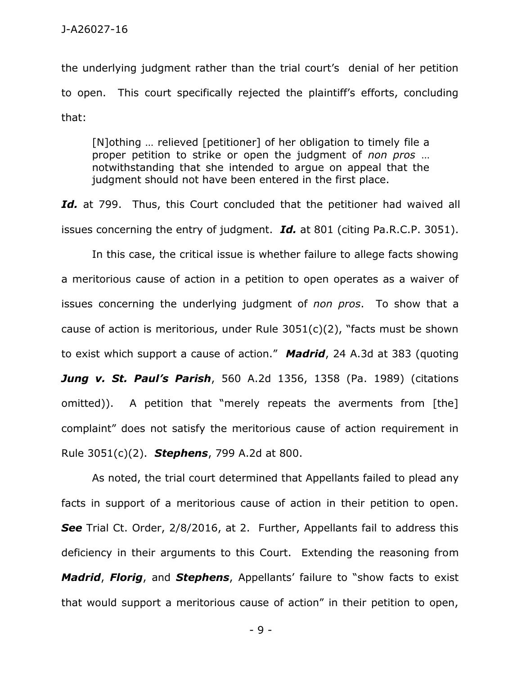the underlying judgment rather than the trial court's denial of her petition to open. This court specifically rejected the plaintiff's efforts, concluding that:

[N]othing … relieved [petitioner] of her obligation to timely file a proper petition to strike or open the judgment of *non pros* … notwithstanding that she intended to argue on appeal that the judgment should not have been entered in the first place.

Id. at 799. Thus, this Court concluded that the petitioner had waived all issues concerning the entry of judgment. *Id.* at 801 (citing Pa.R.C.P. 3051).

In this case, the critical issue is whether failure to allege facts showing a meritorious cause of action in a petition to open operates as a waiver of issues concerning the underlying judgment of *non pros*. To show that a cause of action is meritorious, under Rule 3051(c)(2), "facts must be shown to exist which support a cause of action." *Madrid*, 24 A.3d at 383 (quoting *Jung v. St. Paul's Parish*, 560 A.2d 1356, 1358 (Pa. 1989) (citations omitted)). A petition that "merely repeats the averments from [the] complaint" does not satisfy the meritorious cause of action requirement in Rule 3051(c)(2). *Stephens*, 799 A.2d at 800.

As noted, the trial court determined that Appellants failed to plead any facts in support of a meritorious cause of action in their petition to open. **See** Trial Ct. Order, 2/8/2016, at 2. Further, Appellants fail to address this deficiency in their arguments to this Court. Extending the reasoning from *Madrid*, *Florig*, and *Stephens*, Appellants' failure to "show facts to exist that would support a meritorious cause of action" in their petition to open,

- 9 -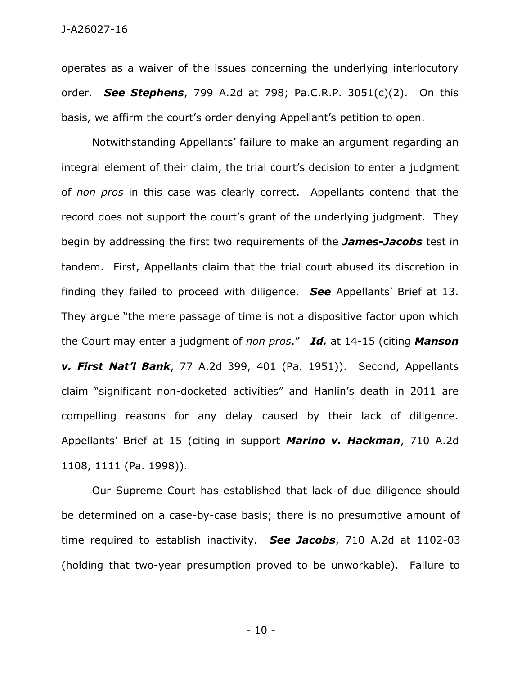operates as a waiver of the issues concerning the underlying interlocutory order. *See Stephens*, 799 A.2d at 798; Pa.C.R.P. 3051(c)(2). On this basis, we affirm the court's order denying Appellant's petition to open.

Notwithstanding Appellants' failure to make an argument regarding an integral element of their claim, the trial court's decision to enter a judgment of *non pros* in this case was clearly correct. Appellants contend that the record does not support the court's grant of the underlying judgment. They begin by addressing the first two requirements of the *James-Jacobs* test in tandem. First, Appellants claim that the trial court abused its discretion in finding they failed to proceed with diligence. *See* Appellants' Brief at 13. They argue "the mere passage of time is not a dispositive factor upon which the Court may enter a judgment of *non pros*." *Id.* at 14-15 (citing *Manson v. First Nat'l Bank*, 77 A.2d 399, 401 (Pa. 1951)). Second, Appellants claim "significant non-docketed activities" and Hanlin's death in 2011 are compelling reasons for any delay caused by their lack of diligence. Appellants' Brief at 15 (citing in support *Marino v. Hackman*, 710 A.2d 1108, 1111 (Pa. 1998)).

Our Supreme Court has established that lack of due diligence should be determined on a case-by-case basis; there is no presumptive amount of time required to establish inactivity. *See Jacobs*, 710 A.2d at 1102-03 (holding that two-year presumption proved to be unworkable). Failure to

- 10 -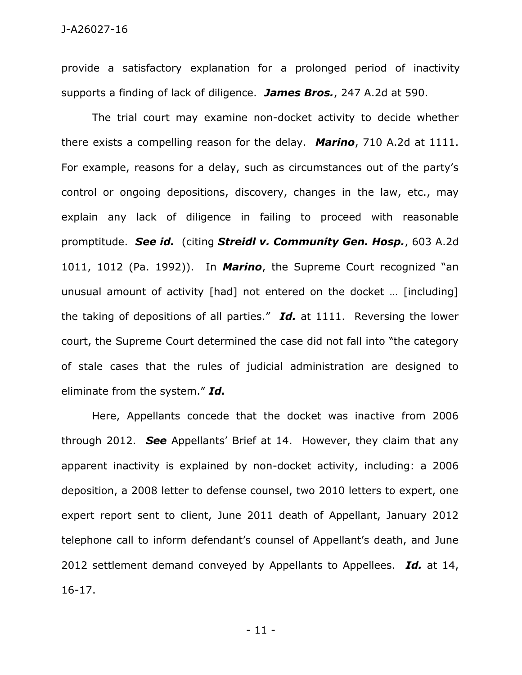provide a satisfactory explanation for a prolonged period of inactivity supports a finding of lack of diligence. *James Bros.*, 247 A.2d at 590.

The trial court may examine non-docket activity to decide whether there exists a compelling reason for the delay. *Marino*, 710 A.2d at 1111. For example, reasons for a delay, such as circumstances out of the party's control or ongoing depositions, discovery, changes in the law, etc., may explain any lack of diligence in failing to proceed with reasonable promptitude. *See id.* (citing *Streidl v. Community Gen. Hosp.*, 603 A.2d 1011, 1012 (Pa. 1992)). In *Marino*, the Supreme Court recognized "an unusual amount of activity [had] not entered on the docket … [including] the taking of depositions of all parties." *Id.* at 1111. Reversing the lower court, the Supreme Court determined the case did not fall into "the category of stale cases that the rules of judicial administration are designed to eliminate from the system." *Id.*

Here, Appellants concede that the docket was inactive from 2006 through 2012. *See* Appellants' Brief at 14. However, they claim that any apparent inactivity is explained by non-docket activity, including: a 2006 deposition, a 2008 letter to defense counsel, two 2010 letters to expert, one expert report sent to client, June 2011 death of Appellant, January 2012 telephone call to inform defendant's counsel of Appellant's death, and June 2012 settlement demand conveyed by Appellants to Appellees. *Id.* at 14, 16-17.

- 11 -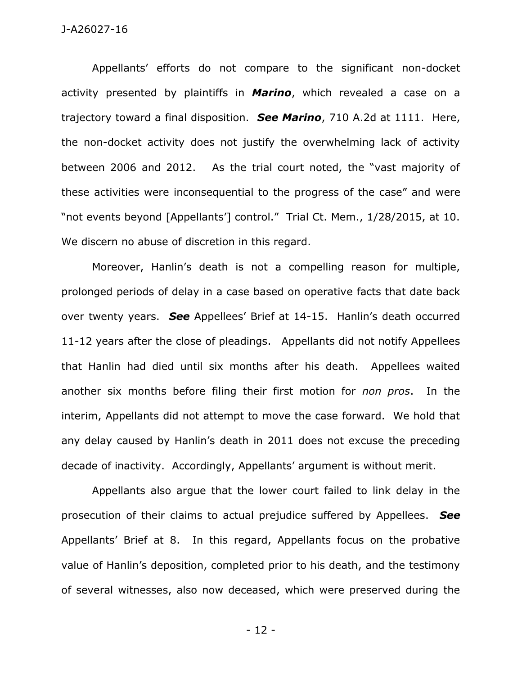Appellants' efforts do not compare to the significant non-docket activity presented by plaintiffs in *Marino*, which revealed a case on a trajectory toward a final disposition. *See Marino*, 710 A.2d at 1111. Here, the non-docket activity does not justify the overwhelming lack of activity between 2006 and 2012. As the trial court noted, the "vast majority of these activities were inconsequential to the progress of the case" and were "not events beyond [Appellants'] control." Trial Ct. Mem., 1/28/2015, at 10. We discern no abuse of discretion in this regard.

Moreover, Hanlin's death is not a compelling reason for multiple, prolonged periods of delay in a case based on operative facts that date back over twenty years. *See* Appellees' Brief at 14-15. Hanlin's death occurred 11-12 years after the close of pleadings. Appellants did not notify Appellees that Hanlin had died until six months after his death. Appellees waited another six months before filing their first motion for *non pros*. In the interim, Appellants did not attempt to move the case forward. We hold that any delay caused by Hanlin's death in 2011 does not excuse the preceding decade of inactivity. Accordingly, Appellants' argument is without merit.

Appellants also argue that the lower court failed to link delay in the prosecution of their claims to actual prejudice suffered by Appellees. *See*  Appellants' Brief at 8. In this regard, Appellants focus on the probative value of Hanlin's deposition, completed prior to his death, and the testimony of several witnesses, also now deceased, which were preserved during the

- 12 -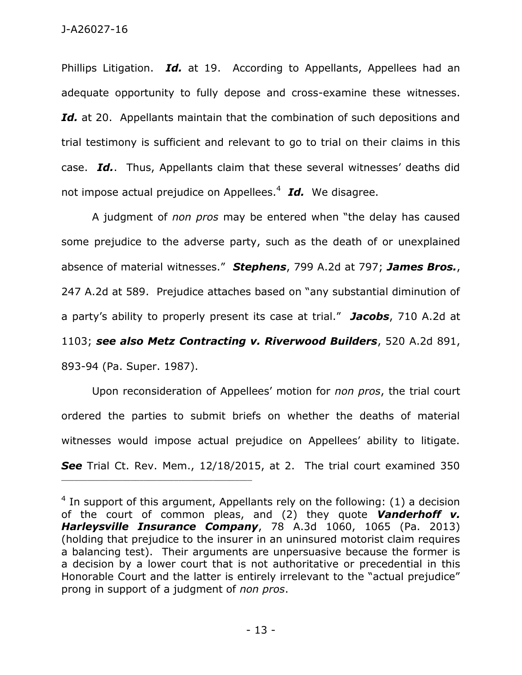Phillips Litigation. *Id.* at 19. According to Appellants, Appellees had an adequate opportunity to fully depose and cross-examine these witnesses. Id. at 20. Appellants maintain that the combination of such depositions and trial testimony is sufficient and relevant to go to trial on their claims in this case. *Id.*. Thus, Appellants claim that these several witnesses' deaths did not impose actual prejudice on Appellees.<sup>4</sup> Id. We disagree.

A judgment of *non pros* may be entered when "the delay has caused some prejudice to the adverse party, such as the death of or unexplained absence of material witnesses." *Stephens*, 799 A.2d at 797; *James Bros.*, 247 A.2d at 589. Prejudice attaches based on "any substantial diminution of a party's ability to properly present its case at trial." *Jacobs*, 710 A.2d at 1103; *see also Metz Contracting v. Riverwood Builders*, 520 A.2d 891, 893-94 (Pa. Super. 1987).

Upon reconsideration of Appellees' motion for *non pros*, the trial court ordered the parties to submit briefs on whether the deaths of material witnesses would impose actual prejudice on Appellees' ability to litigate. *See* Trial Ct. Rev. Mem., 12/18/2015, at 2. The trial court examined 350

\_\_\_\_\_\_\_\_\_\_\_\_\_\_\_\_\_\_\_\_\_\_\_\_\_\_\_\_\_\_\_\_\_\_\_\_\_\_\_\_\_\_\_\_

 $4$  In support of this argument, Appellants rely on the following: (1) a decision of the court of common pleas, and (2) they quote *Vanderhoff v. Harleysville Insurance Company*, 78 A.3d 1060, 1065 (Pa. 2013) (holding that prejudice to the insurer in an uninsured motorist claim requires a balancing test). Their arguments are unpersuasive because the former is a decision by a lower court that is not authoritative or precedential in this Honorable Court and the latter is entirely irrelevant to the "actual prejudice" prong in support of a judgment of *non pros*.